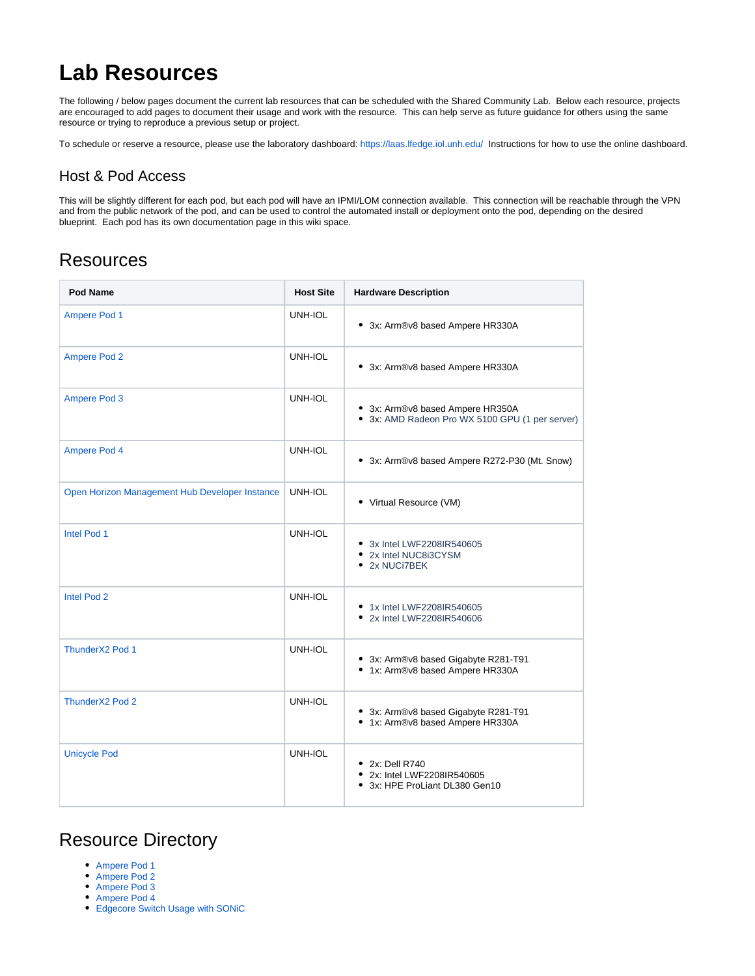## **Lab Resources**

The following / below pages document the current lab resources that can be scheduled with the Shared Community Lab. Below each resource, projects are encouraged to add pages to document their usage and work with the resource. This can help serve as future guidance for others using the same resource or trying to reproduce a previous setup or project.

To schedule or reserve a resource, please use the laboratory dashboard:<https://laas.lfedge.iol.unh.edu/>Instructions for how to use the online dashboard.

## Host & Pod Access

This will be slightly different for each pod, but each pod will have an IPMI/LOM connection available. This connection will be reachable through the VPN and from the public network of the pod, and can be used to control the automated install or deployment onto the pod, depending on the desired blueprint. Each pod has its own documentation page in this wiki space.

## **Resources**

| Pod Name                                       | <b>Host Site</b> | <b>Hardware Description</b>                                                         |
|------------------------------------------------|------------------|-------------------------------------------------------------------------------------|
| <b>Ampere Pod 1</b>                            | UNH-IOL          | • 3x: Arm®v8 based Ampere HR330A                                                    |
| <b>Ampere Pod 2</b>                            | UNH-IOL          | • 3x: Arm®v8 based Ampere HR330A                                                    |
| <b>Ampere Pod 3</b>                            | UNH-IOL          | • 3x: Arm®v8 based Ampere HR350A<br>• 3x: AMD Radeon Pro WX 5100 GPU (1 per server) |
| Ampere Pod 4                                   | UNH-IOL          | • 3x: Arm®v8 based Ampere R272-P30 (Mt. Snow)                                       |
| Open Horizon Management Hub Developer Instance | UNH-IOL          | • Virtual Resource (VM)                                                             |
| Intel Pod 1                                    | UNH-IOL          | • 3x Intel LWF2208IR540605<br>• 2x Intel NUC8i3CYSM<br>• 2x NUCi7BEK                |
| Intel Pod 2                                    | UNH-IOL          | • 1x Intel LWF2208IR540605<br>• 2x Intel LWF2208IR540606                            |
| ThunderX2 Pod 1                                | UNH-IOL          | • 3x: Arm®v8 based Gigabyte R281-T91<br>• 1x: Arm®v8 based Ampere HR330A            |
| ThunderX2 Pod 2                                | UNH-IOL          | • 3x: Arm®v8 based Gigabyte R281-T91<br>• 1x: Arm®v8 based Ampere HR330A            |
| <b>Unicycle Pod</b>                            | UNH-IOL          | • 2x: Dell R740<br>• 2x: Intel LWF2208IR540605<br>3x: HPE ProLiant DL380 Gen10      |

## Resource Directory

- [Ampere Pod 1](https://wiki.lfedge.org/display/LE/Ampere+Pod+1)
- [Ampere Pod 2](https://wiki.lfedge.org/display/LE/Ampere+Pod+2)
- [Ampere Pod 3](https://wiki.lfedge.org/display/LE/Ampere+Pod+3)
- [Ampere Pod 4](https://wiki.lfedge.org/display/LE/Ampere+Pod+4)
- [Edgecore Switch Usage with SONiC](https://wiki.lfedge.org/display/LE/Edgecore+Switch+Usage+with+SONiC)